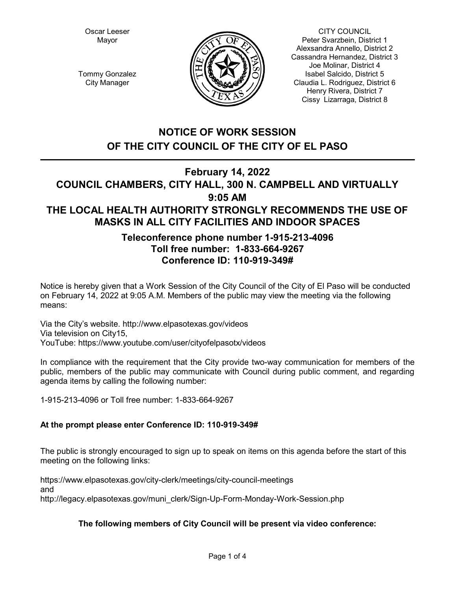Oscar Leeser Mayor



CITY COUNCIL Peter Svarzbein, District 1 Alexsandra Annello, District 2 Cassandra Hernandez, District 3 Joe Molinar, District 4 Isabel Salcido, District 5 Claudia L. Rodriguez, District 6 Henry Rivera, District 7 Cissy Lizarraga, District 8

Tommy Gonzalez City Manager

# **NOTICE OF WORK SESSION OF THE CITY COUNCIL OF THE CITY OF EL PASO**

## **February 14, 2022 COUNCIL CHAMBERS, CITY HALL, 300 N. CAMPBELL AND VIRTUALLY**

# **9:05 AM THE LOCAL HEALTH AUTHORITY STRONGLY RECOMMENDS THE USE OF MASKS IN ALL CITY FACILITIES AND INDOOR SPACES**

# **Teleconference phone number 1-915-213-4096 Toll free number: 1-833-664-9267 Conference ID: 110-919-349#**

Notice is hereby given that a Work Session of the City Council of the City of El Paso will be conducted on February 14, 2022 at 9:05 A.M. Members of the public may view the meeting via the following means:

Via the City's website. http://www.elpasotexas.gov/videos Via television on City15, YouTube: https://www.youtube.com/user/cityofelpasotx/videos

In compliance with the requirement that the City provide two-way communication for members of the public, members of the public may communicate with Council during public comment, and regarding agenda items by calling the following number:

1-915-213-4096 or Toll free number: 1-833-664-9267

## **At the prompt please enter Conference ID: 110-919-349#**

The public is strongly encouraged to sign up to speak on items on this agenda before the start of this meeting on the following links:

https://www.elpasotexas.gov/city-clerk/meetings/city-council-meetings and http://legacy.elpasotexas.gov/muni\_clerk/Sign-Up-Form-Monday-Work-Session.php

## **The following members of City Council will be present via video conference:**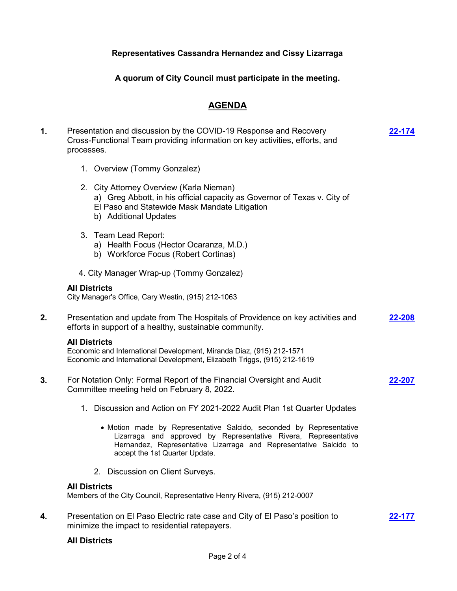### **Representatives Cassandra Hernandez and Cissy Lizarraga**

**A quorum of City Council must participate in the meeting.**

### **AGENDA**

**1.** Presentation and discussion by the COVID-19 Response and Recovery Cross-Functional Team providing information on key activities, efforts, and processes. 1. Overview (Tommy Gonzalez) 2. City Attorney Overview (Karla Nieman) a) Greg Abbott, in his official capacity as Governor of Texas v. City of El Paso and Statewide Mask Mandate Litigation b) Additional Updates 3. Team Lead Report: a) Health Focus (Hector Ocaranza, M.D.) b) Workforce Focus (Robert Cortinas) 4. City Manager Wrap-up (Tommy Gonzalez) **[22-174](http://elpasotexas.legistar.com/gateway.aspx?m=l&id=/matter.aspx?key=6638) All Districts** City Manager's Office, Cary Westin, (915) 212-1063 **2.** Presentation and update from The Hospitals of Providence on key activities and efforts in support of a healthy, sustainable community. **[22-208](http://elpasotexas.legistar.com/gateway.aspx?m=l&id=/matter.aspx?key=6672) All Districts** Economic and International Development, Miranda Diaz, (915) 212-1571 Economic and International Development, Elizabeth Triggs, (915) 212-1619 **3.** For Notation Only: Formal Report of the Financial Oversight and Audit Committee meeting held on February 8, 2022. 1. Discussion and Action on FY 2021-2022 Audit Plan 1st Quarter Updates · Motion made by Representative Salcido, seconded by Representative Lizarraga and approved by Representative Rivera, Representative Hernandez, Representative Lizarraga and Representative Salcido to accept the 1st Quarter Update. 2. Discussion on Client Surveys. **[22-207](http://elpasotexas.legistar.com/gateway.aspx?m=l&id=/matter.aspx?key=6671) All Districts** Members of the City Council, Representative Henry Rivera, (915) 212-0007 **4.** Presentation on El Paso Electric rate case and City of El Paso's position to minimize the impact to residential ratepayers. **[22-177](http://elpasotexas.legistar.com/gateway.aspx?m=l&id=/matter.aspx?key=6641)**

### **All Districts**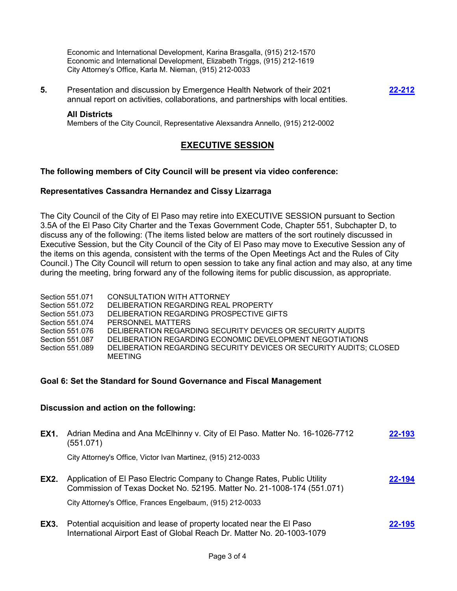Economic and International Development, Karina Brasgalla, (915) 212-1570 Economic and International Development, Elizabeth Triggs, (915) 212-1619 City Attorney's Office, Karla M. Nieman, (915) 212-0033

**5.** Presentation and discussion by Emergence Health Network of their 2021 annual report on activities, collaborations, and partnerships with local entities. **[22-212](http://elpasotexas.legistar.com/gateway.aspx?m=l&id=/matter.aspx?key=6676)**

#### **All Districts**

Members of the City Council, Representative Alexsandra Annello, (915) 212-0002

### **EXECUTIVE SESSION**

#### **The following members of City Council will be present via video conference:**

#### **Representatives Cassandra Hernandez and Cissy Lizarraga**

The City Council of the City of El Paso may retire into EXECUTIVE SESSION pursuant to Section 3.5A of the El Paso City Charter and the Texas Government Code, Chapter 551, Subchapter D, to discuss any of the following: (The items listed below are matters of the sort routinely discussed in Executive Session, but the City Council of the City of El Paso may move to Executive Session any of the items on this agenda, consistent with the terms of the Open Meetings Act and the Rules of City Council.) The City Council will return to open session to take any final action and may also, at any time during the meeting, bring forward any of the following items for public discussion, as appropriate.

| Section 551.071 | CONSULTATION WITH ATTORNEY                                         |
|-----------------|--------------------------------------------------------------------|
| Section 551.072 | DELIBERATION REGARDING REAL PROPERTY                               |
| Section 551.073 | DELIBERATION REGARDING PROSPECTIVE GIFTS                           |
| Section 551.074 | PERSONNEL MATTERS                                                  |
| Section 551.076 | DELIBERATION REGARDING SECURITY DEVICES OR SECURITY AUDITS         |
| Section 551.087 | DELIBERATION REGARDING ECONOMIC DEVELOPMENT NEGOTIATIONS           |
| Section 551.089 | DELIBERATION REGARDING SECURITY DEVICES OR SECURITY AUDITS; CLOSED |
|                 | MEETING                                                            |

#### **Goal 6: Set the Standard for Sound Governance and Fiscal Management**

### **Discussion and action on the following:**

| <b>EX1.</b> | Adrian Medina and Ana McElhinny v. City of El Paso. Matter No. 16-1026-7712<br>(551.071)                                                          | 22-193 |
|-------------|---------------------------------------------------------------------------------------------------------------------------------------------------|--------|
|             | City Attorney's Office, Victor Ivan Martinez, (915) 212-0033                                                                                      |        |
| <b>EX2.</b> | Application of El Paso Electric Company to Change Rates, Public Utility<br>Commission of Texas Docket No. 52195. Matter No. 21-1008-174 (551.071) | 22-194 |
|             | City Attorney's Office, Frances Engelbaum, (915) 212-0033                                                                                         |        |
| <b>EX3.</b> | Potential acquisition and lease of property located near the El Paso<br>International Airport East of Global Reach Dr. Matter No. 20-1003-1079    | 22-195 |